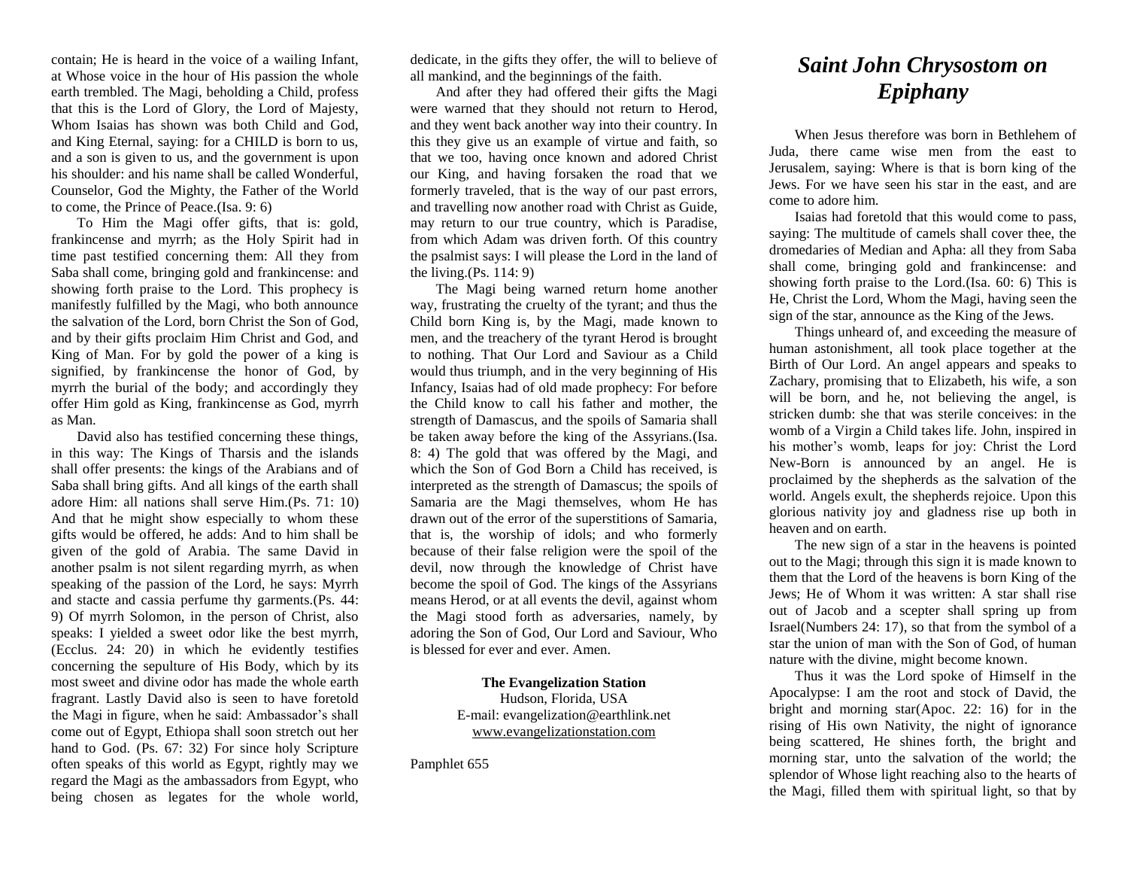contain; He is heard in the voice of a wailing Infant, at Whose voice in the hour of His passion the whole earth trembled. The Magi, beholding a Child, profess that this is the Lord of Glory, the Lord of Majesty, Whom Isaias has shown was both Child and God, and King Eternal, saying: for a CHILD is born to us, and a son is given to us, and the government is upon his shoulder: and his name shall be called Wonderful, Counselor, God the Mighty, the Father of the World to come, the Prince of Peace.(Isa. 9: 6)

To Him the Magi offer gifts, that is: gold, frankincense and myrrh; as the Holy Spirit had in time past testified concerning them: All they from Saba shall come, bringing gold and frankincense: and showing forth praise to the Lord. This prophecy is manifestly fulfilled by the Magi, who both announce the salvation of the Lord, born Christ the Son of God, and by their gifts proclaim Him Christ and God, and King of Man. For by gold the power of a king is signified, by frankincense the honor of God, by myrrh the burial of the body; and accordingly they offer Him gold as King, frankincense as God, myrrh as Man.

David also has testified concerning these things, in this way: The Kings of Tharsis and the islands shall offer presents: the kings of the Arabians and of Saba shall bring gifts. And all kings of the earth shall adore Him: all nations shall serve Him.(Ps. 71: 10) And that he might show especially to whom these gifts would be offered, he adds: And to him shall be given of the gold of Arabia. The same David in another psalm is not silent regarding myrrh, as when speaking of the passion of the Lord, he says: Myrrh and stacte and cassia perfume thy garments.(Ps. 44: 9) Of myrrh Solomon, in the person of Christ, also speaks: I yielded a sweet odor like the best myrrh, (Ecclus. 24: 20) in which he evidently testifies concerning the sepulture of His Body, which by its most sweet and divine odor has made the whole earth fragrant. Lastly David also is seen to have foretold the Magi in figure, when he said: Ambassador's shall come out of Egypt, Ethiopa shall soon stretch out her hand to God. (Ps. 67: 32) For since holy Scripture often speaks of this world as Egypt, rightly may we regard the Magi as the ambassadors from Egypt, who being chosen as legates for the whole world,

dedicate, in the gifts they offer, the will to believe of all mankind, and the beginnings of the faith.

And after they had offered their gifts the Magi were warned that they should not return to Herod, and they went back another way into their country. In this they give us an example of virtue and faith, so that we too, having once known and adored Christ our King, and having forsaken the road that we formerly traveled, that is the way of our past errors, and travelling now another road with Christ as Guide, may return to our true country, which is Paradise, from which Adam was driven forth. Of this country the psalmist says: I will please the Lord in the land of the living. $(Ps. 114: 9)$ 

The Magi being warned return home another way, frustrating the cruelty of the tyrant; and thus the Child born King is, by the Magi, made known to men, and the treachery of the tyrant Herod is brought to nothing. That Our Lord and Saviour as a Child would thus triumph, and in the very beginning of His Infancy, Isaias had of old made prophecy: For before the Child know to call his father and mother, the strength of Damascus, and the spoils of Samaria shall be taken away before the king of the Assyrians.(Isa. 8: 4) The gold that was offered by the Magi, and which the Son of God Born a Child has received, is interpreted as the strength of Damascus; the spoils of Samaria are the Magi themselves, whom He has drawn out of the error of the superstitions of Samaria, that is, the worship of idols; and who formerly because of their false religion were the spoil of the devil, now through the knowledge of Christ have become the spoil of God. The kings of the Assyrians means Herod, or at all events the devil, against whom the Magi stood forth as adversaries, namely, by adoring the Son of God, Our Lord and Saviour, Who is blessed for ever and ever. Amen.

> **The Evangelization Station** Hudson, Florida, USA E-mail: evangelization@earthlink.net [www.evangelizationstation.com](http://www.pjpiisoe.org/)

Pamphlet 655

## *Saint John Chrysostom on Epiphany*

When Jesus therefore was born in Bethlehem of Juda, there came wise men from the east to Jerusalem, saying: Where is that is born king of the Jews. For we have seen his star in the east, and are come to adore him.

Isaias had foretold that this would come to pass, saying: The multitude of camels shall cover thee, the dromedaries of Median and Apha: all they from Saba shall come, bringing gold and frankincense: and showing forth praise to the Lord.(Isa. 60: 6) This is He, Christ the Lord, Whom the Magi, having seen the sign of the star, announce as the King of the Jews.

Things unheard of, and exceeding the measure of human astonishment, all took place together at the Birth of Our Lord. An angel appears and speaks to Zachary, promising that to Elizabeth, his wife, a son will be born, and he, not believing the angel, is stricken dumb: she that was sterile conceives: in the womb of a Virgin a Child takes life. John, inspired in his mother's womb, leaps for joy: Christ the Lord New-Born is announced by an angel. He is proclaimed by the shepherds as the salvation of the world. Angels exult, the shepherds rejoice. Upon this glorious nativity joy and gladness rise up both in heaven and on earth.

The new sign of a star in the heavens is pointed out to the Magi; through this sign it is made known to them that the Lord of the heavens is born King of the Jews; He of Whom it was written: A star shall rise out of Jacob and a scepter shall spring up from Israel(Numbers 24: 17), so that from the symbol of a star the union of man with the Son of God, of human nature with the divine, might become known.

Thus it was the Lord spoke of Himself in the Apocalypse: I am the root and stock of David, the bright and morning star(Apoc. 22: 16) for in the rising of His own Nativity, the night of ignorance being scattered, He shines forth, the bright and morning star, unto the salvation of the world; the splendor of Whose light reaching also to the hearts of the Magi, filled them with spiritual light, so that by